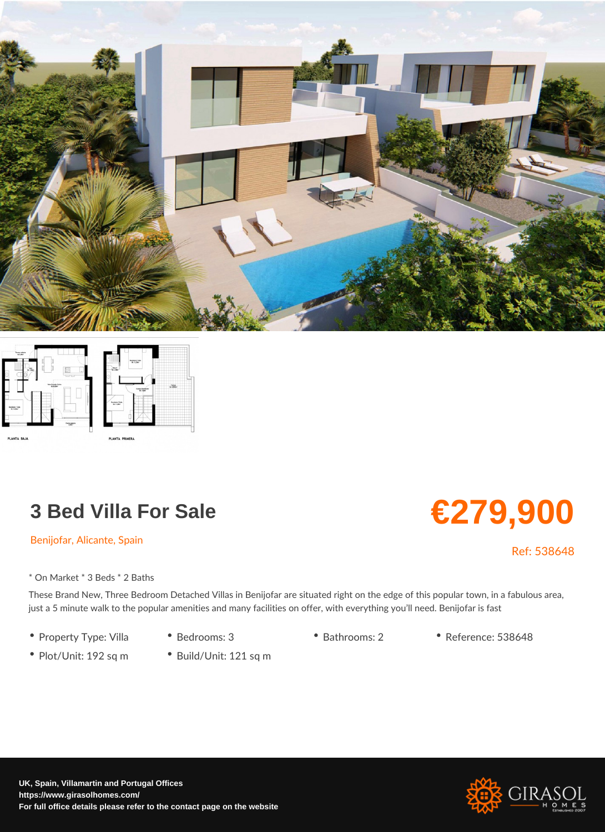## 3 Bed Villa For Sale

Benijofar, Alicante, Spain

\* On Market \* 3 Beds \* 2 Baths

These Brand New, Three Bedroom Detached Villas in Benijofar are situated right on the just a 5 minute walk to the popular amenities and many facilities on offer, with everythi

- Property Type: VillBedrooms: 3 Bathrooms: 2 Reference: 538648
- Plot/Unit: 192 sq ·mBuild/Unit: 121 sq m

Ref: 538648

€279,900